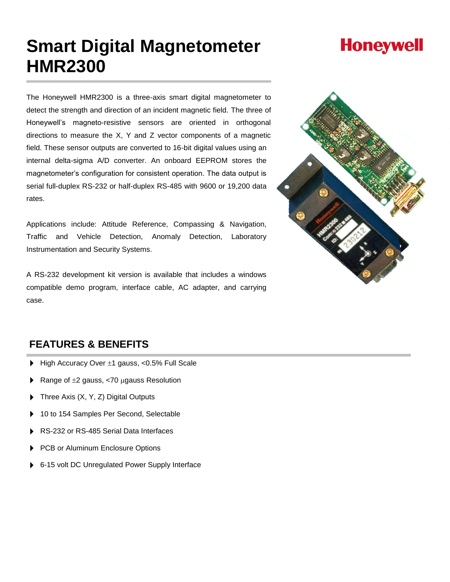# **Smart Digital Magnetometer HMR2300**

The Honeywell HMR2300 is a three-axis smart digital magnetometer to detect the strength and direction of an incident magnetic field. The three of Honeywell's magneto-resistive sensors are oriented in orthogonal directions to measure the X, Y and Z vector components of a magnetic field. These sensor outputs are converted to 16-bit digital values using an internal delta-sigma A/D converter. An onboard EEPROM stores the magnetometer's configuration for consistent operation. The data output is serial full-duplex RS-232 or half-duplex RS-485 with 9600 or 19,200 data rates.

Applications include: Attitude Reference, Compassing & Navigation, Traffic and Vehicle Detection, Anomaly Detection, Laboratory Instrumentation and Security Systems.

A RS-232 development kit version is available that includes a windows compatible demo program, interface cable, AC adapter, and carrying case.



## **FEATURES & BENEFITS**

- High Accuracy Over  $\pm 1$  gauss, <0.5% Full Scale
- Range of  $\pm 2$  gauss, <70 µgauss Resolution
- Three Axis (X, Y, Z) Digital Outputs
- 10 to 154 Samples Per Second, Selectable
- RS-232 or RS-485 Serial Data Interfaces
- PCB or Aluminum Enclosure Options
- 6-15 volt DC Unregulated Power Supply Interface

# **Honeywell**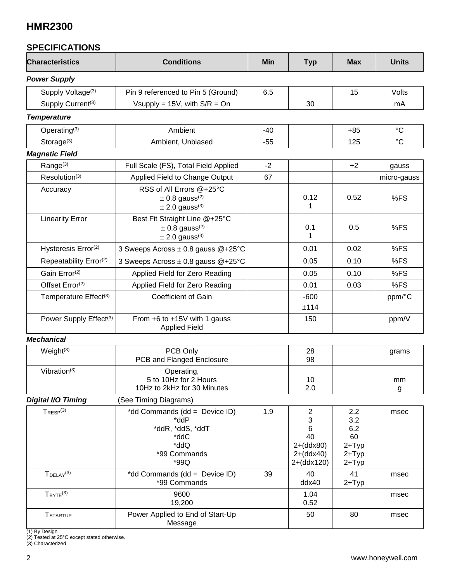### **SPECIFICATIONS**

| <b>Characteristics</b>             | <b>Conditions</b>                                                                                 | Min   | <b>Typ</b>                                                                 | <b>Max</b>                                                  | <b>Units</b> |
|------------------------------------|---------------------------------------------------------------------------------------------------|-------|----------------------------------------------------------------------------|-------------------------------------------------------------|--------------|
| <b>Power Supply</b>                |                                                                                                   |       |                                                                            |                                                             |              |
| Supply Voltage <sup>(3)</sup>      | Pin 9 referenced to Pin 5 (Ground)                                                                | 6.5   |                                                                            | 15                                                          | Volts        |
| Supply Current <sup>(3)</sup>      | Vsupply = $15V$ , with $S/R = On$                                                                 |       | 30                                                                         |                                                             | mA           |
| <b>Temperature</b>                 |                                                                                                   |       |                                                                            |                                                             |              |
| Operating $(3)$                    | Ambient                                                                                           | $-40$ |                                                                            | $+85$                                                       | $^{\circ}C$  |
| Storage $(3)$                      | Ambient, Unbiased                                                                                 | $-55$ |                                                                            | 125                                                         | $^{\circ}C$  |
| <b>Magnetic Field</b>              |                                                                                                   |       |                                                                            |                                                             |              |
| Range <sup>(3)</sup>               | Full Scale (FS), Total Field Applied                                                              | $-2$  |                                                                            | $+2$                                                        | gauss        |
| Resolution <sup>(3)</sup>          | Applied Field to Change Output                                                                    | 67    |                                                                            |                                                             | micro-gauss  |
| Accuracy                           | RSS of All Errors @+25°C<br>$\pm$ 0.8 gauss <sup>(2)</sup><br>$\pm$ 2.0 gauss <sup>(3)</sup>      |       | 0.12<br>1                                                                  | 0.52                                                        | %FS          |
| <b>Linearity Error</b>             | Best Fit Straight Line @+25°C<br>$\pm$ 0.8 gauss <sup>(2)</sup><br>$\pm$ 2.0 gauss <sup>(3)</sup> |       | 0.1<br>1                                                                   | 0.5                                                         | %FS          |
| Hysteresis Error <sup>(2)</sup>    | 3 Sweeps Across $\pm$ 0.8 gauss @+25°C                                                            |       | 0.01                                                                       | 0.02                                                        | %FS          |
| Repeatability Error <sup>(2)</sup> | 3 Sweeps Across ± 0.8 gauss @+25°C                                                                |       | 0.05                                                                       | 0.10                                                        | %FS          |
| Gain Error <sup>(2)</sup>          | Applied Field for Zero Reading                                                                    |       | 0.05                                                                       | 0.10                                                        | %FS          |
| Offset Error(2)                    | Applied Field for Zero Reading                                                                    |       | 0.01                                                                       | 0.03                                                        | %FS          |
| Temperature Effect <sup>(3)</sup>  | Coefficient of Gain                                                                               |       | $-600$<br>±114                                                             |                                                             | ppm/°C       |
| Power Supply Effect <sup>(3)</sup> | From +6 to +15V with 1 gauss<br><b>Applied Field</b>                                              |       | 150                                                                        |                                                             | ppm/V        |
| <b>Mechanical</b>                  |                                                                                                   |       |                                                                            |                                                             |              |
| Weight <sup>(3)</sup>              | PCB Only<br>PCB and Flanged Enclosure                                                             |       | 28<br>98                                                                   |                                                             | grams        |
| Vibration $(3)$                    | Operating,<br>5 to 10Hz for 2 Hours<br>10Hz to 2kHz for 30 Minutes                                |       | 10<br>2.0                                                                  |                                                             | mm<br>g      |
| <b>Digital I/O Timing</b>          | (See Timing Diagrams)                                                                             |       |                                                                            |                                                             |              |
| $T_{\text{RESP}}^{(3)}$            | *dd Commands (dd = Device ID)<br>*ddP<br>*ddR, *ddS, *ddT<br>*ddC<br>*ddQ<br>*99 Commands<br>*99Q | 1.9   | $\overline{c}$<br>3<br>6<br>40<br>$2+(ddx80)$<br>$2+(ddx40)$<br>2+(ddx120) | 2.2<br>3.2<br>6.2<br>60<br>$2+Type$<br>$2+Type$<br>$2+Type$ | msec         |
| $T$ DELAY <sup>(3)</sup>           | *dd Commands (dd = Device ID)<br>*99 Commands                                                     | 39    | 40<br>ddx40                                                                | 41<br>$2+Type$                                              | msec         |
| $T_{\text{BYTE}}^{(3)}$            | 9600<br>19,200                                                                                    |       | 1.04<br>0.52                                                               |                                                             | msec         |
| <b>TSTARTUP</b>                    | Power Applied to End of Start-Up<br>Message                                                       |       | 50                                                                         | 80                                                          | msec         |

(1) By Design

(2) Tested at 25°C except stated otherwise.

(3) Characterized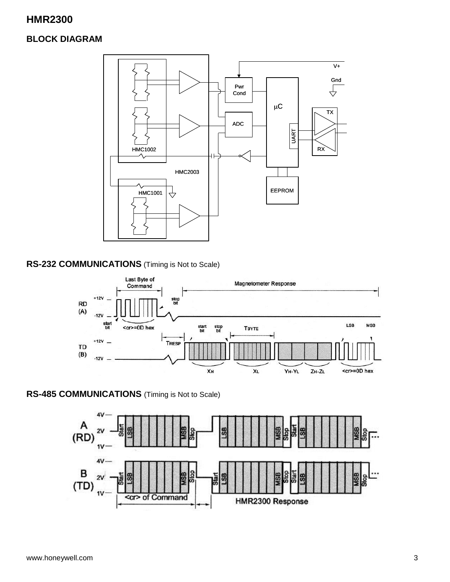### **BLOCK DIAGRAM**



### **RS-232 COMMUNICATIONS** (Timing is Not to Scale)



### **RS-485 COMMUNICATIONS** (Timing is Not to Scale)

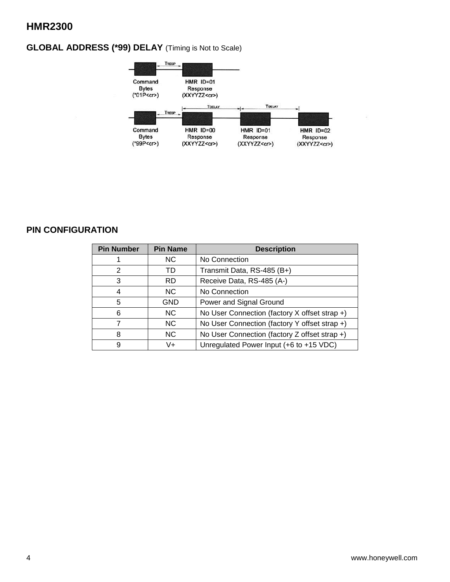### **GLOBAL ADDRESS (\*99) DELAY** (Timing is Not to Scale)



### **PIN CONFIGURATION**

| <b>Pin Number</b> | <b>Pin Name</b> | <b>Description</b>                            |
|-------------------|-----------------|-----------------------------------------------|
|                   | NC.             | No Connection                                 |
| 2                 | TD              | Transmit Data, RS-485 (B+)                    |
| 3                 | <b>RD</b>       | Receive Data, RS-485 (A-)                     |
| 4                 | NC.             | No Connection                                 |
| 5                 | GND             | Power and Signal Ground                       |
| 6                 | NC.             | No User Connection (factory X offset strap +) |
|                   | NC.             | No User Connection (factory Y offset strap +) |
| 8                 | <b>NC</b>       | No User Connection (factory Z offset strap +) |
| 9                 | V+              | Unregulated Power Input (+6 to +15 VDC)       |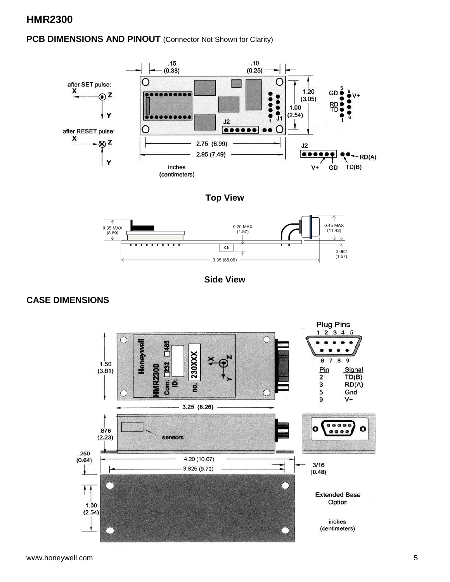### PCB DIMENSIONS AND PINOUT (Connector Not Shown for Clarity)



**Top View**



**Side View**

### **CASE DIMENSIONS**

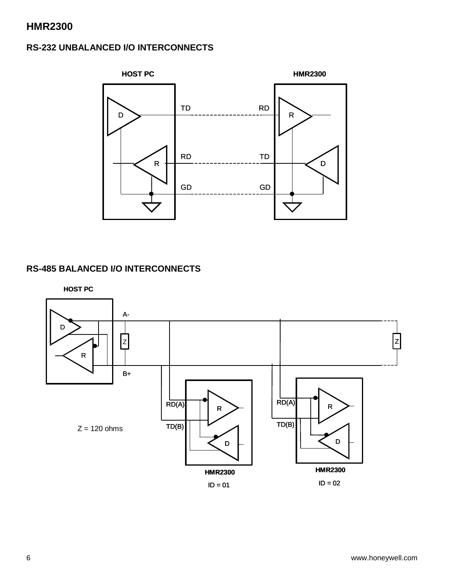### **RS-232 UNBALANCED I/O INTERCONNECTS**



### **RS-485 BALANCED I/O INTERCONNECTS**

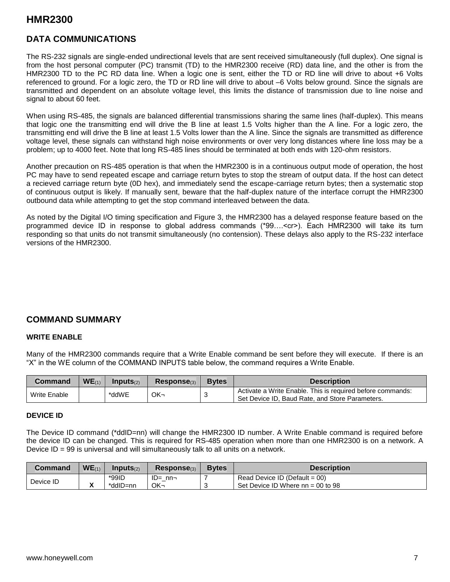### **DATA COMMUNICATIONS**

The RS-232 signals are single-ended undirectional levels that are sent received simultaneously (full duplex). One signal is from the host personal computer (PC) transmit (TD) to the HMR2300 receive (RD) data line, and the other is from the HMR2300 TD to the PC RD data line. When a logic one is sent, either the TD or RD line will drive to about +6 Volts referenced to ground. For a logic zero, the TD or RD line will drive to about -6 Volts below ground. Since the signals are transmitted and dependent on an absolute voltage level, this limits the distance of transmission due to line noise and signal to about 60 feet.

When using RS-485, the signals are balanced differential transmissions sharing the same lines (half-duplex). This means that logic one the transmitting end will drive the B line at least 1.5 Volts higher than the A line. For a logic zero, the transmitting end will drive the B line at least 1.5 Volts lower than the A line. Since the signals are transmitted as difference voltage level, these signals can withstand high noise environments or over very long distances where line loss may be a problem; up to 4000 feet. Note that long RS-485 lines should be terminated at both ends with 120-ohm resistors.

Another precaution on RS-485 operation is that when the HMR2300 is in a continuous output mode of operation, the host PC may have to send repeated escape and carriage return bytes to stop the stream of output data. If the host can detect a recieved carriage return byte (0D hex), and immediately send the escape-carriage return bytes; then a systematic stop of continuous output is likely. If manually sent, beware that the half-duplex nature of the interface corrupt the HMR2300 outbound data while attempting to get the stop command interleaved between the data.

As noted by the Digital I/O timing specification and Figure 3, the HMR2300 has a delayed response feature based on the programmed device ID in response to global address commands (\*99….<cr>). Each HMR2300 will take its turn responding so that units do not transmit simultaneously (no contension). These delays also apply to the RS-232 interface versions of the HMR2300.

### **COMMAND SUMMARY**

#### **WRITE ENABLE**

Many of the HMR2300 commands require that a Write Enable command be sent before they will execute. If there is an "X" in the WE column of the COMMAND INPUTS table below, the command requires a Write Enable.

| <b>Command</b> | $WE_{(1)}$ | Inputs <sub>(2)</sub> | Response <sub>(3)</sub> | <b>Bytes</b> | <b>Description</b>                                                                                            |
|----------------|------------|-----------------------|-------------------------|--------------|---------------------------------------------------------------------------------------------------------------|
| Write Enable   |            | *ddWE                 | OK-                     |              | Activate a Write Enable. This is required before commands:<br>Set Device ID, Baud Rate, and Store Parameters. |

#### **DEVICE ID**

The Device ID command (\*ddID=nn) will change the HMR2300 ID number. A Write Enable command is required before the device ID can be changed. This is required for RS-485 operation when more than one HMR2300 is on a network. A Device  $ID = 99$  is universal and will simultaneously talk to all units on a network.

| Command   | $WE_{(1)}$ | Inputs <sub>(2)</sub> | Response <sub>(3)</sub> | <b>Bytes</b> | <b>Description</b>                  |
|-----------|------------|-----------------------|-------------------------|--------------|-------------------------------------|
|           |            | $*99$ ID              | $ID = nn -$             |              | Read Device ID (Default = $00$ )    |
| Device ID | ,,         | *ddID=nn              | ОК¬                     |              | Set Device ID Where $nn = 00$ to 98 |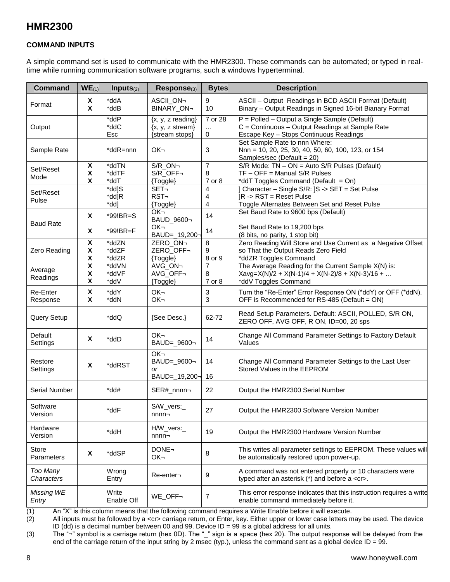#### **COMMAND INPUTS**

A simple command set is used to communicate with the HMR2300. These commands can be automated; or typed in realtime while running communication software programs, such a windows hyperterminal.

| <b>Command</b>             | $WE_{(1)}$                                         | Inputs $(2)$            | Response(3)                                                            | <b>Bytes</b>             | <b>Description</b>                                                                                                                         |
|----------------------------|----------------------------------------------------|-------------------------|------------------------------------------------------------------------|--------------------------|--------------------------------------------------------------------------------------------------------------------------------------------|
| Format                     | X<br>X                                             | *ddA<br>*ddB            | ASCII_ON¬<br>BINARY_ON¬                                                | 9<br>10                  | ASCII - Output Readings in BCD ASCII Format (Default)<br>Binary - Output Readings in Signed 16-bit Bianary Format                          |
| Output                     |                                                    | *ddP<br>*ddC<br>Esc     | $\{x, y, z$ reading}<br>$\{x, y, z \text{ stream}\}$<br>{stream stops} | 7 or 28<br>$\cdots$<br>0 | P = Polled - Output a Single Sample (Default)<br>C = Continuous - Output Readings at Sample Rate<br>Escape Key - Stops Continuous Readings |
| Sample Rate                |                                                    | *ddR=nnn                | OK-                                                                    | 3                        | Set Sample Rate to nnn Where:<br>Nnn = 10, 20, 25, 30, 40, 50, 60, 100, 123, or 154<br>Samples/sec (Default = 20)                          |
| Set/Reset<br>Mode          | X<br>X<br>X                                        | *ddTN<br>*ddTF<br>*ddT  | S/R_ON-<br>S/R_OFF¬<br>{Toggle}                                        | 7<br>8<br>7 or 8         | $S/R$ Mode: TN - ON = Auto S/R Pulses (Default)<br>$TF - OFF = Manual S/R Pulses$<br>*ddT Toggles Command (Default = On)                   |
| Set/Reset<br>Pulse         |                                                    | *dd]S<br>*dd]R<br>*dd]  | SET-<br>RST-<br>{Toggle}                                               | 4<br>4<br>4              | ] Character - Single S/R: [S -> SET = Set Pulse<br>$IR - > RST = Reset$ Pulse<br>Toggle Alternates Between Set and Reset Pulse             |
| <b>Baud Rate</b>           | X<br>X                                             | *99!BR=S<br>*99!BR=F    | OK-<br>BAUD_9600-<br>OK-<br>BAUD=_19,200-                              | 14<br>14                 | Set Baud Rate to 9600 bps (Default)<br>Set Baud Rate to 19,200 bps<br>(8 bits, no parity, 1 stop bit)                                      |
| Zero Reading               | $\overline{\mathbf{x}}$<br>$\pmb{\mathsf{X}}$<br>χ | *ddZN<br>*ddZF<br>*ddZR | ZERO_ON¬<br>ZERO_OFF¬<br>{Toggle}                                      | 8<br>9<br>8 or 9         | Zero Reading Will Store and Use Current as a Negative Offset<br>so That the Output Reads Zero Field<br>*ddZR Toggles Command               |
| Average<br>Readings        | $\overline{\mathbf{X}}$<br>X<br>X                  | *ddVN<br>*ddVF<br>*ddV  | AVG ON-<br>AVG_OFF¬<br>{Toggle}                                        | 7<br>8<br>7 or 8         | The Average Reading for the Current Sample X(N) is:<br>$Xavg = X(N)/2 + X(N-1)/4 + X(N-2)/8 + X(N-3)/16 + $<br>*ddV Toggles Command        |
| Re-Enter<br>Response       | $\pmb{\mathsf{X}}$<br>X                            | *ddY<br>*ddN            | OK-<br>OK-                                                             | 3<br>3                   | Turn the "Re-Enter" Error Response ON (*ddY) or OFF (*ddN).<br>OFF is Recommended for RS-485 (Default = ON)                                |
| Query Setup                |                                                    | *ddQ                    | {See Desc.}                                                            | 62-72                    | Read Setup Parameters. Default: ASCII, POLLED, S/R ON,<br>ZERO OFF, AVG OFF, R ON, ID=00, 20 sps                                           |
| Default<br>Settings        | X                                                  | *ddD                    | OK-<br>BAUD=_9600¬                                                     | 14                       | Change All Command Parameter Settings to Factory Default<br>Values                                                                         |
| Restore<br>Settings        | X                                                  | *ddRST                  | OK <sub>7</sub><br>BAUD=_9600¬<br>or<br>BAUD=_19,200¬                  | 14<br>16                 | Change All Command Parameter Settings to the Last User<br>Stored Values in the EEPROM                                                      |
| Serial Number              |                                                    | $*$ dd#                 | SER#_nnnn¬                                                             | 22                       | Output the HMR2300 Serial Number                                                                                                           |
| Software<br>Version        |                                                    | *ddF                    | S/W_vers:_<br>$nnnn-$                                                  | 27                       | Output the HMR2300 Software Version Number                                                                                                 |
| Hardware<br>Version        |                                                    | *ddH                    | H/W_vers:_<br>$nnnn-$                                                  | 19                       | Output the HMR2300 Hardware Version Number                                                                                                 |
| <b>Store</b><br>Parameters | X                                                  | *ddSP                   | DONE-<br>OK-                                                           | 8                        | This writes all parameter settings to EEPROM. These values will<br>be automatically restored upon power-up.                                |
| Too Many<br>Characters     |                                                    | Wrong<br>Entry          | Re-enter-                                                              | 9                        | A command was not entered properly or 10 characters were<br>typed after an asterisk (*) and before a <cr>.</cr>                            |
| Missing WE<br>Entry        |                                                    | Write<br>Enable Off     | WE_OFF-                                                                | 7                        | This error response indicates that this instruction requires a write<br>enable command immediately before it.                              |

(1) An "X" is this column means that the following command requires a Write Enable before it will execute.<br>(2) All inputs must be followed by a <cr> carriage return, or Enter, key. Either upper or lower case letters m

All inputs must be followed by a <cr> carriage return, or Enter, key. Either upper or lower case letters may be used. The device ID (dd) is a decimal number between 00 and 99. Device ID = 99 is a global address for all units.

(3) The "¬" symbol is a carriage return (hex 0D). The "\_" sign is a space (hex 20). The output response will be delayed from the end of the carriage return of the input string by 2 msec (typ.), unless the command sent as a global device ID = 99.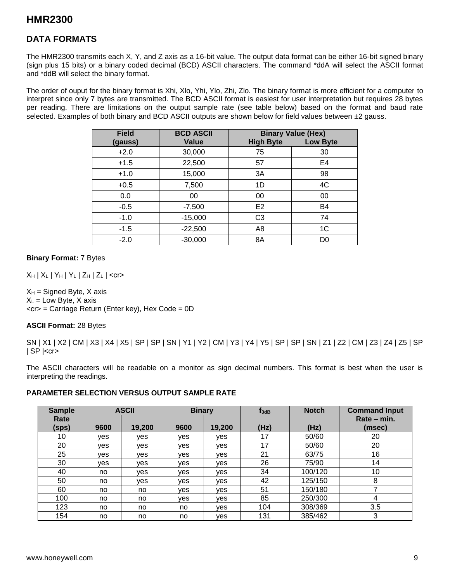### **DATA FORMATS**

The HMR2300 transmits each X, Y, and Z axis as a 16-bit value. The output data format can be either 16-bit signed binary (sign plus 15 bits) or a binary coded decimal (BCD) ASCII characters. The command \*ddA will select the ASCII format and \*ddB will select the binary format.

The order of ouput for the binary format is Xhi, Xlo, Yhi, Ylo, Zhi, Zlo. The binary format is more efficient for a computer to interpret since only 7 bytes are transmitted. The BCD ASCII format is easiest for user interpretation but requires 28 bytes per reading. There are limitations on the output sample rate (see table below) based on the format and baud rate selected. Examples of both binary and BCD ASCII outputs are shown below for field values between  $\pm 2$  gauss.

| <b>Field</b> | <b>BCD ASCII</b> |                  | <b>Binary Value (Hex)</b> |
|--------------|------------------|------------------|---------------------------|
| (gauss)      | <b>Value</b>     | <b>High Byte</b> | <b>Low Byte</b>           |
| $+2.0$       | 30,000           | 75               | 30                        |
| $+1.5$       | 22,500           | 57               | E <sub>4</sub>            |
| $+1.0$       | 15,000           | 3A               | 98                        |
| $+0.5$       | 7,500            | 1D               | 4C                        |
| 0.0          | 00               | 00               | 00                        |
| $-0.5$       | $-7,500$         | E <sub>2</sub>   | B4                        |
| $-1.0$       | $-15,000$        | C <sub>3</sub>   | 74                        |
| $-1.5$       | $-22,500$        | A <sub>8</sub>   | 1 <sub>C</sub>            |
| $-2.0$       | $-30,000$        | 8A               | D0                        |

#### **Binary Format:** 7 Bytes

 $X_H$  |  $X_L$  |  $Y_H$  |  $Y_L$  |  $Z_H$  |  $Z_L$  | <cr>

 $X_H$  = Signed Byte, X axis  $X_L$  = Low Byte, X axis  $<$ cr> = Carriage Return (Enter key), Hex Code = 0D

#### **ASCII Format:** 28 Bytes

SN | X1 | X2 | CM | X3 | X4 | X5 | SP | SP | SN | Y1 | Y2 | CM | Y3 | Y4 | Y5 | SP | SP | SN | Z1 | Z2 | CM | Z3 | Z4 | Z5 | SP  $|$  SP  $|<$ cr $>$ 

The ASCII characters will be readable on a monitor as sign decimal numbers. This format is best when the user is interpreting the readings.

#### **PARAMETER SELECTION VERSUS OUTPUT SAMPLE RATE**

| <b>Sample</b> |            | <b>ASCII</b> | <b>Binary</b> |            | $f_{3dB}$ | <b>Notch</b> | <b>Command Input</b>  |
|---------------|------------|--------------|---------------|------------|-----------|--------------|-----------------------|
| Rate<br>(sps) | 9600       | 19,200       | 9600          | 19,200     | (Hz)      | (Hz)         | Rate – min.<br>(msec) |
| 10            | <b>ves</b> | ves          | ves           | ves        | 17        | 50/60        | 20                    |
| 20            | ves        | ves          | ves           | ves        | 17        | 50/60        | 20                    |
| 25            | ves        | ves          | ves           | ves        | 21        | 63/75        | 16                    |
| 30            | ves        | ves          | ves           | <b>ves</b> | 26        | 75/90        | 14                    |
| 40            | no         | ves          | ves           | ves        | 34        | 100/120      | 10                    |
| 50            | no         | ves          | ves           | ves        | 42        | 125/150      | 8                     |
| 60            | no         | no           | ves           | ves        | 51        | 150/180      | 7                     |
| 100           | no         | no           | ves           | <b>ves</b> | 85        | 250/300      | 4                     |
| 123           | no         | no           | no            | <b>ves</b> | 104       | 308/369      | 3.5                   |
| 154           | no         | no           | no            | <b>ves</b> | 131       | 385/462      | 3                     |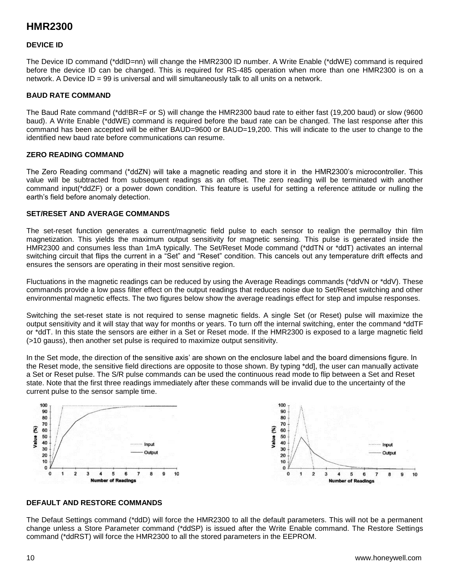#### **DEVICE ID**

The Device ID command (\*ddID=nn) will change the HMR2300 ID number. A Write Enable (\*ddWE) command is required before the device ID can be changed. This is required for RS-485 operation when more than one HMR2300 is on a network. A Device ID = 99 is universal and will simultaneously talk to all units on a network.

#### **BAUD RATE COMMAND**

The Baud Rate command (\*dd!BR=F or S) will change the HMR2300 baud rate to either fast (19,200 baud) or slow (9600 baud). A Write Enable (\*ddWE) command is required before the baud rate can be changed. The last response after this command has been accepted will be either BAUD=9600 or BAUD=19,200. This will indicate to the user to change to the identified new baud rate before communications can resume.

#### **ZERO READING COMMAND**

The Zero Reading command (\*ddZN) will take a magnetic reading and store it in the HMR2300's microcontroller. This value will be subtracted from subsequent readings as an offset. The zero reading will be terminated with another command input(\*ddZF) or a power down condition. This feature is useful for setting a reference attitude or nulling the earth's field before anomaly detection.

#### **SET/RESET AND AVERAGE COMMANDS**

The set-reset function generates a current/magnetic field pulse to each sensor to realign the permalloy thin film magnetization. This yields the maximum output sensitivity for magnetic sensing. This pulse is generated inside the HMR2300 and consumes less than 1mA typically. The Set/Reset Mode command (\*ddTN or \*ddT) activates an internal switching circuit that flips the current in a "Set" and "Reset" condition. This cancels out any temperature drift effects and ensures the sensors are operating in their most sensitive region.

Fluctuations in the magnetic readings can be reduced by using the Average Readings commands (\*ddVN or \*ddV). These commands provide a low pass filter effect on the output readings that reduces noise due to Set/Reset switching and other environmental magnetic effects. The two figures below show the average readings effect for step and impulse responses.

Switching the set-reset state is not required to sense magnetic fields. A single Set (or Reset) pulse will maximize the output sensitivity and it will stay that way for months or years. To turn off the internal switching, enter the command \*ddTF or \*ddT. In this state the sensors are either in a Set or Reset mode. If the HMR2300 is exposed to a large magnetic field (>10 gauss), then another set pulse is required to maximize output sensitivity.

In the Set mode, the direction of the sensitive axis' are shown on the enclosure label and the board dimensions figure. In the Reset mode, the sensitive field directions are opposite to those shown. By typing \*dd], the user can manually activate a Set or Reset pulse. The S/R pulse commands can be used the continuous read mode to flip between a Set and Reset state. Note that the first three readings immediately after these commands will be invalid due to the uncertainty of the current pulse to the sensor sample time.



#### **DEFAULT AND RESTORE COMMANDS**

The Defaut Settings command (\*ddD) will force the HMR2300 to all the default parameters. This will not be a permanent change unless a Store Parameter command (\*ddSP) is issued after the Write Enable command. The Restore Settings command (\*ddRST) will force the HMR2300 to all the stored parameters in the EEPROM.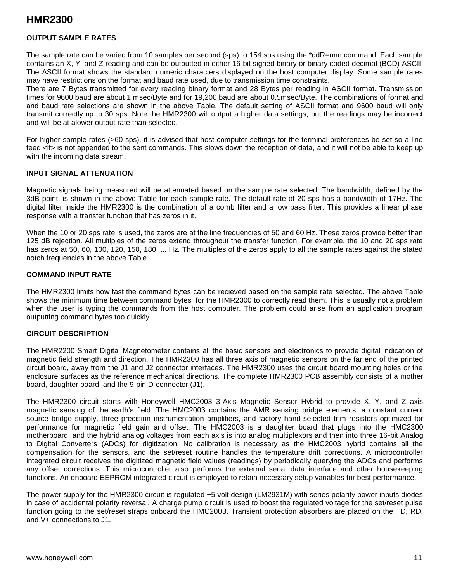#### **OUTPUT SAMPLE RATES**

The sample rate can be varied from 10 samples per second (sps) to 154 sps using the \*ddR=nnn command. Each sample contains an X, Y, and Z reading and can be outputted in either 16-bit signed binary or binary coded decimal (BCD) ASCII. The ASCII format shows the standard numeric characters displayed on the host computer display. Some sample rates may have restrictions on the format and baud rate used, due to transmission time constraints.

There are 7 Bytes transmitted for every reading binary format and 28 Bytes per reading in ASCII format. Transmission times for 9600 baud are about 1 msec/Byte and for 19,200 baud are about 0.5msec/Byte. The combinations of format and and baud rate selections are shown in the above Table. The default setting of ASCII format and 9600 baud will only transmit correctly up to 30 sps. Note the HMR2300 will output a higher data settings, but the readings may be incorrect and will be at alower output rate than selected.

For higher sample rates (>60 sps), it is advised that host computer settings for the terminal preferences be set so a line feed <lf> is not appended to the sent commands. This slows down the reception of data, and it will not be able to keep up with the incoming data stream.

#### **INPUT SIGNAL ATTENUATION**

Magnetic signals being measured will be attenuated based on the sample rate selected. The bandwidth, defined by the 3dB point, is shown in the above Table for each sample rate. The default rate of 20 sps has a bandwidth of 17Hz. The digital filter inside the HMR2300 is the combination of a comb filter and a low pass filter. This provides a linear phase response with a transfer function that has zeros in it.

When the 10 or 20 sps rate is used, the zeros are at the line frequencies of 50 and 60 Hz. These zeros provide better than 125 dB rejection. All multiples of the zeros extend throughout the transfer function. For example, the 10 and 20 sps rate has zeros at 50, 60, 100, 120, 150, 180, ... Hz. The multiples of the zeros apply to all the sample rates against the stated notch frequencies in the above Table.

#### **COMMAND INPUT RATE**

The HMR2300 limits how fast the command bytes can be recieved based on the sample rate selected. The above Table shows the minimum time between command bytes for the HMR2300 to correctly read them. This is usually not a problem when the user is typing the commands from the host computer. The problem could arise from an application program outputting command bytes too quickly.

#### **CIRCUIT DESCRIPTION**

The HMR2200 Smart Digital Magnetometer contains all the basic sensors and electronics to provide digital indication of magnetic field strength and direction. The HMR2300 has all three axis of magnetic sensors on the far end of the printed circuit board, away from the J1 and J2 connector interfaces. The HMR2300 uses the circuit board mounting holes or the enclosure surfaces as the reference mechanical directions. The complete HMR2300 PCB assembly consists of a mother board, daughter board, and the 9-pin D-connector (J1).

The HMR2300 circuit starts with Honeywell HMC2003 3-Axis Magnetic Sensor Hybrid to provide X, Y, and Z axis magnetic sensing of the earth's field. The HMC2003 contains the AMR sensing bridge elements, a constant current source bridge supply, three precision instrumentation amplifiers, and factory hand-selected trim resistors optimized for performance for magnetic field gain and offset. The HMC2003 is a daughter board that plugs into the HMC2300 motherboard, and the hybrid analog voltages from each axis is into analog multiplexors and then into three 16-bit Analog to Digital Converters (ADCs) for digitization. No calibration is necessary as the HMC2003 hybrid contains all the compensation for the sensors, and the set/reset routine handles the temperature drift corrections. A microcontroller integrated circuit receives the digitized magnetic field values (readings) by periodically querying the ADCs and performs any offset corrections. This microcontroller also performs the external serial data interface and other housekeeping functions. An onboard EEPROM integrated circuit is employed to retain necessary setup variables for best performance.

The power supply for the HMR2300 circuit is regulated +5 volt design (LM2931M) with series polarity power inputs diodes in case of accidental polarity reversal. A charge pump circuit is used to boost the regulated voltage for the set/reset pulse function going to the set/reset straps onboard the HMC2003. Transient protection absorbers are placed on the TD, RD, and V+ connections to J1.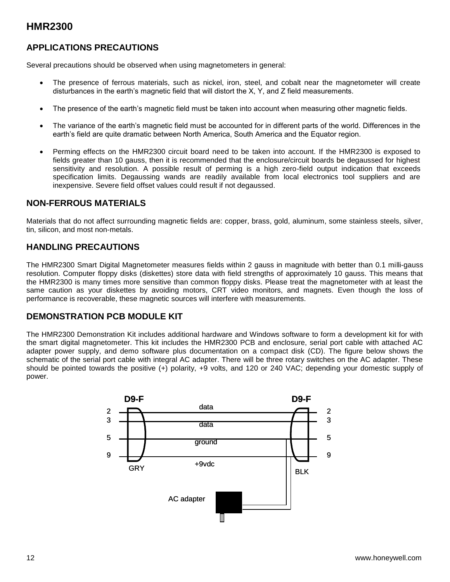### **APPLICATIONS PRECAUTIONS**

Several precautions should be observed when using magnetometers in general:

- The presence of ferrous materials, such as nickel, iron, steel, and cobalt near the magnetometer will create disturbances in the earth's magnetic field that will distort the X, Y, and Z field measurements.
- The presence of the earth's magnetic field must be taken into account when measuring other magnetic fields.
- The variance of the earth's magnetic field must be accounted for in different parts of the world. Differences in the earth's field are quite dramatic between North America, South America and the Equator region.
- Perming effects on the HMR2300 circuit board need to be taken into account. If the HMR2300 is exposed to fields greater than 10 gauss, then it is recommended that the enclosure/circuit boards be degaussed for highest sensitivity and resolution. A possible result of perming is a high zero-field output indication that exceeds specification limits. Degaussing wands are readily available from local electronics tool suppliers and are inexpensive. Severe field offset values could result if not degaussed.

#### **NON-FERROUS MATERIALS**

Materials that do not affect surrounding magnetic fields are: copper, brass, gold, aluminum, some stainless steels, silver, tin, silicon, and most non-metals.

#### **HANDLING PRECAUTIONS**

The HMR2300 Smart Digital Magnetometer measures fields within 2 gauss in magnitude with better than 0.1 milli-gauss resolution. Computer floppy disks (diskettes) store data with field strengths of approximately 10 gauss. This means that the HMR2300 is many times more sensitive than common floppy disks. Please treat the magnetometer with at least the same caution as your diskettes by avoiding motors, CRT video monitors, and magnets. Even though the loss of performance is recoverable, these magnetic sources will interfere with measurements.

### **DEMONSTRATION PCB MODULE KIT**

The HMR2300 Demonstration Kit includes additional hardware and Windows software to form a development kit for with the smart digital magnetometer. This kit includes the HMR2300 PCB and enclosure, serial port cable with attached AC adapter power supply, and demo software plus documentation on a compact disk (CD). The figure below shows the schematic of the serial port cable with integral AC adapter. There will be three rotary switches on the AC adapter. These should be pointed towards the positive (+) polarity, +9 volts, and 120 or 240 VAC; depending your domestic supply of power.